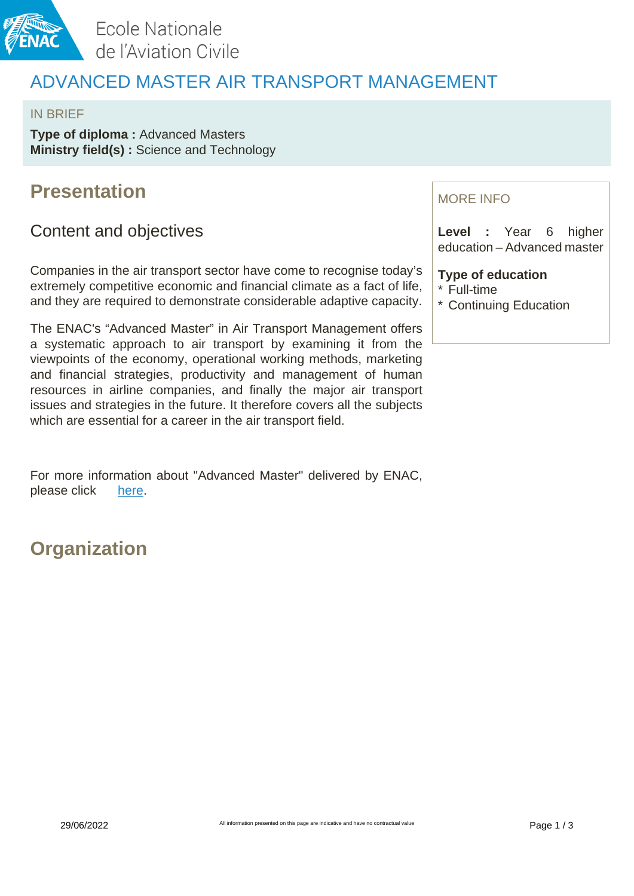

Ecole Nationale de l'Aviation Civile

## ADVANCED MASTER AIR TRANSPORT MANAGEMENT

#### IN BRIEF

**Type of diploma: Advanced Masters Ministry field(s) :** Science and Technology

### **Presentation**

### Content and objectives

Companies in the air transport sector have come to recognise today's extremely competitive economic and financial climate as a fact of life, and they are required to demonstrate considerable adaptive capacity.

The ENAC's "Advanced Master" in Air Transport Management offers a systematic approach to air transport by examining it from the viewpoints of the economy, operational working methods, marketing and financial strategies, productivity and management of human resources in airline companies, and finally the major air transport issues and strategies in the future. It therefore covers all the subjects which are essential for a career in the air transport field.

For more information about "Advanced Master" delivered by ENAC, please click [here.](https://fr.calameo.com/read/0045461231ed7d218d98d)

## **Organization**

### MORE INFO

**Level :** Year 6 higher education – Advanced master

### **Type of education**

- \* Full-time
- \* Continuing Education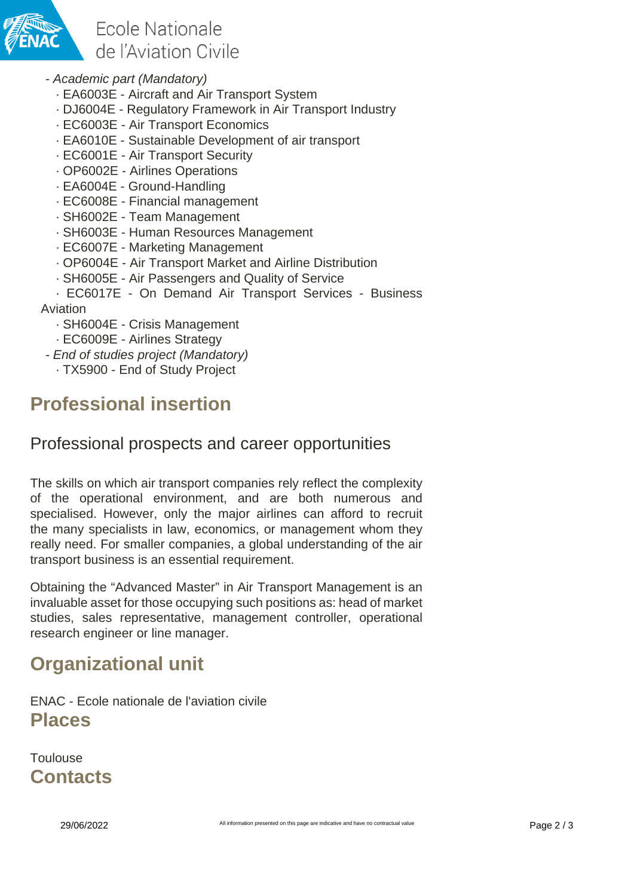

Ecole Nationale de l'Aviation Civile

- Academic part (Mandatory)
	- · EA6003E Aircraft and Air Transport System
	- · DJ6004E Regulatory Framework in Air Transport Industry
	- · EC6003E Air Transport Economics
	- · EA6010E Sustainable Development of air transport
	- · EC6001E Air Transport Security
	- · OP6002E Airlines Operations
	- · EA6004E Ground-Handling
	- · EC6008E Financial management
	- · SH6002E Team Management
	- · SH6003E Human Resources Management
	- · EC6007E Marketing Management
	- · OP6004E Air Transport Market and Airline Distribution
	- · SH6005E Air Passengers and Quality of Service
- · EC6017E On Demand Air Transport Services Business

Aviation

- · SH6004E Crisis Management
- · EC6009E Airlines Strategy
- End of studies project (Mandatory)
	- · TX5900 End of Study Project

# **Professional insertion**

### Professional prospects and career opportunities

The skills on which air transport companies rely reflect the complexity of the operational environment, and are both numerous and specialised. However, only the major airlines can afford to recruit the many specialists in law, economics, or management whom they really need. For smaller companies, a global understanding of the air transport business is an essential requirement.

Obtaining the "Advanced Master" in Air Transport Management is an invaluable asset for those occupying such positions as: head of market studies, sales representative, management controller, operational research engineer or line manager.

# **Organizational unit**

ENAC - Ecole nationale de l'aviation civile **Places**

**Toulouse Contacts**